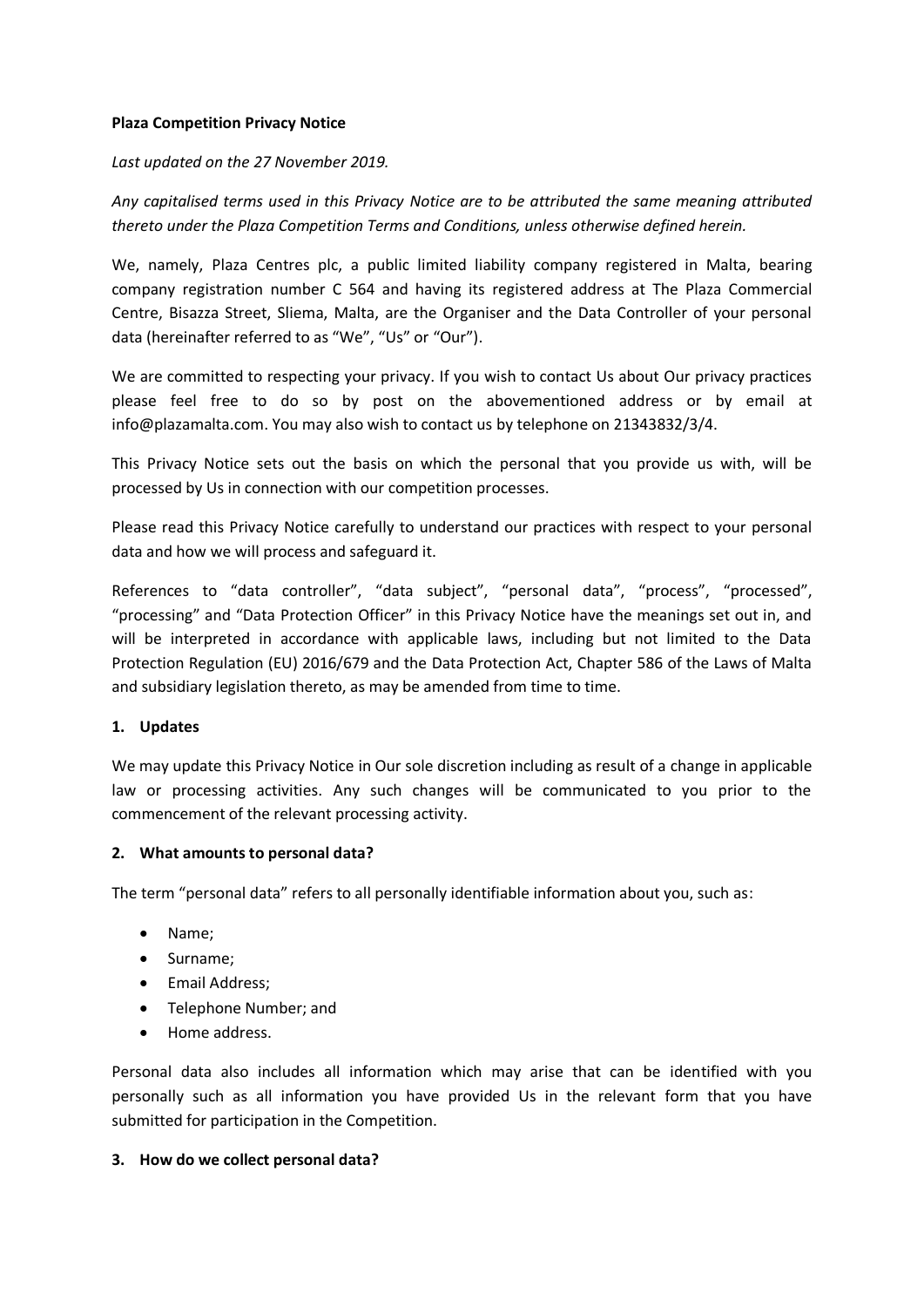### **Plaza Competition Privacy Notice**

#### *Last updated on the 27 November 2019.*

*Any capitalised terms used in this Privacy Notice are to be attributed the same meaning attributed thereto under the Plaza Competition Terms and Conditions, unless otherwise defined herein.*

We, namely, Plaza Centres plc, a public limited liability company registered in Malta, bearing company registration number C 564 and having its registered address at The Plaza Commercial Centre, Bisazza Street, Sliema, Malta, are the Organiser and the Data Controller of your personal data (hereinafter referred to as "We", "Us" or "Our").

We are committed to respecting your privacy. If you wish to contact Us about Our privacy practices please feel free to do so by post on the abovementioned address or by email at info@plazamalta.com. You may also wish to contact us by telephone on 21343832/3/4.

This Privacy Notice sets out the basis on which the personal that you provide us with, will be processed by Us in connection with our competition processes.

Please read this Privacy Notice carefully to understand our practices with respect to your personal data and how we will process and safeguard it.

References to "data controller", "data subject", "personal data", "process", "processed", "processing" and "Data Protection Officer" in this Privacy Notice have the meanings set out in, and will be interpreted in accordance with applicable laws, including but not limited to the Data Protection Regulation (EU) 2016/679 and the Data Protection Act, Chapter 586 of the Laws of Malta and subsidiary legislation thereto, as may be amended from time to time.

### **1. Updates**

We may update this Privacy Notice in Our sole discretion including as result of a change in applicable law or processing activities. Any such changes will be communicated to you prior to the commencement of the relevant processing activity.

### **2. What amounts to personal data?**

The term "personal data" refers to all personally identifiable information about you, such as:

- Name;
- Surname;
- Email Address;
- Telephone Number; and
- Home address.

Personal data also includes all information which may arise that can be identified with you personally such as all information you have provided Us in the relevant form that you have submitted for participation in the Competition.

### **3. How do we collect personal data?**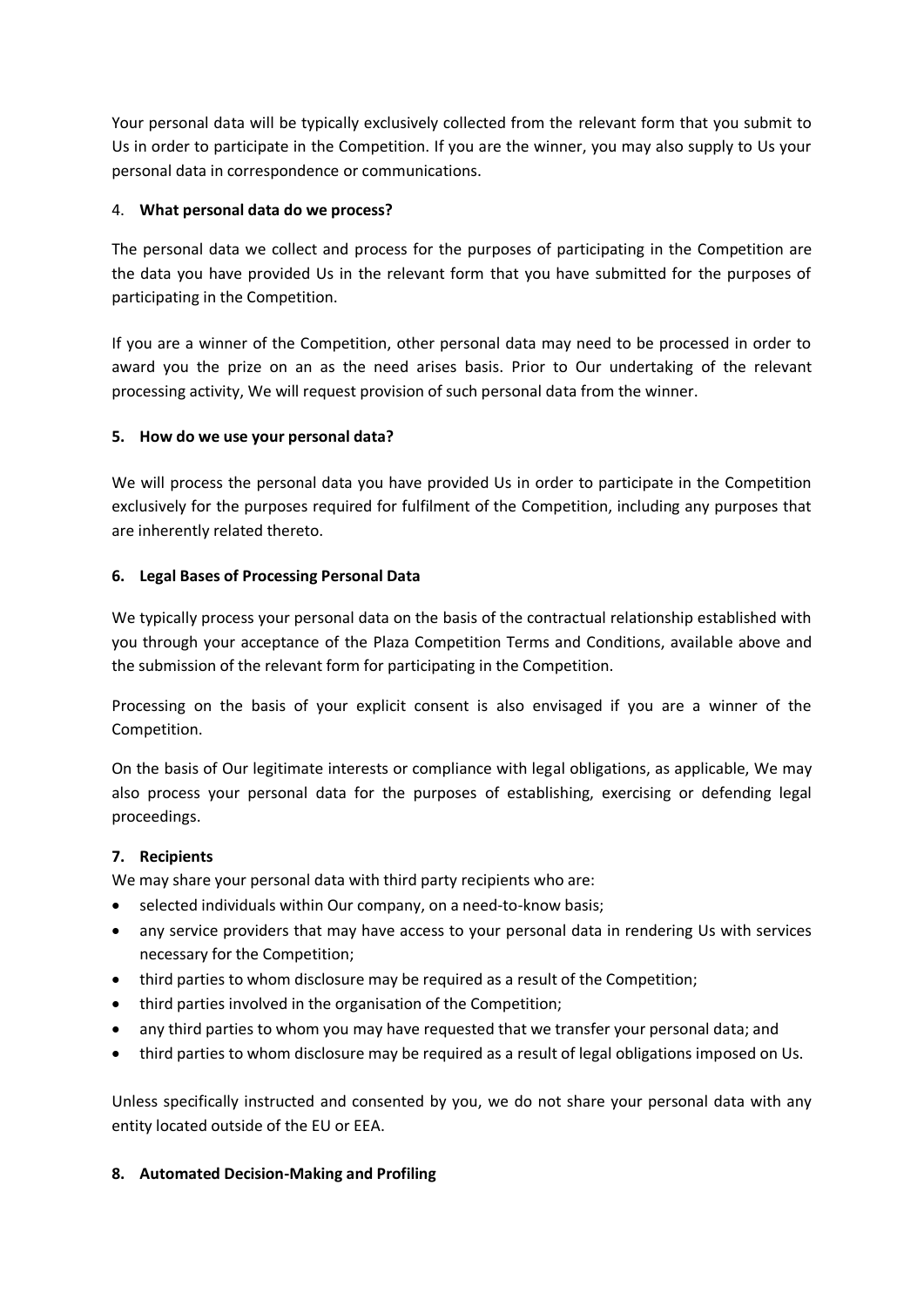Your personal data will be typically exclusively collected from the relevant form that you submit to Us in order to participate in the Competition. If you are the winner, you may also supply to Us your personal data in correspondence or communications.

## 4. **What personal data do we process?**

The personal data we collect and process for the purposes of participating in the Competition are the data you have provided Us in the relevant form that you have submitted for the purposes of participating in the Competition.

If you are a winner of the Competition, other personal data may need to be processed in order to award you the prize on an as the need arises basis. Prior to Our undertaking of the relevant processing activity, We will request provision of such personal data from the winner.

# **5. How do we use your personal data?**

We will process the personal data you have provided Us in order to participate in the Competition exclusively for the purposes required for fulfilment of the Competition, including any purposes that are inherently related thereto.

# **6. Legal Bases of Processing Personal Data**

We typically process your personal data on the basis of the contractual relationship established with you through your acceptance of the Plaza Competition Terms and Conditions, available above and the submission of the relevant form for participating in the Competition.

Processing on the basis of your explicit consent is also envisaged if you are a winner of the Competition.

On the basis of Our legitimate interests or compliance with legal obligations, as applicable, We may also process your personal data for the purposes of establishing, exercising or defending legal proceedings.

## **7. Recipients**

We may share your personal data with third party recipients who are:

- selected individuals within Our company, on a need-to-know basis;
- any service providers that may have access to your personal data in rendering Us with services necessary for the Competition;
- third parties to whom disclosure may be required as a result of the Competition;
- third parties involved in the organisation of the Competition;
- any third parties to whom you may have requested that we transfer your personal data; and
- third parties to whom disclosure may be required as a result of legal obligations imposed on Us.

Unless specifically instructed and consented by you, we do not share your personal data with any entity located outside of the EU or EEA.

## **8. Automated Decision-Making and Profiling**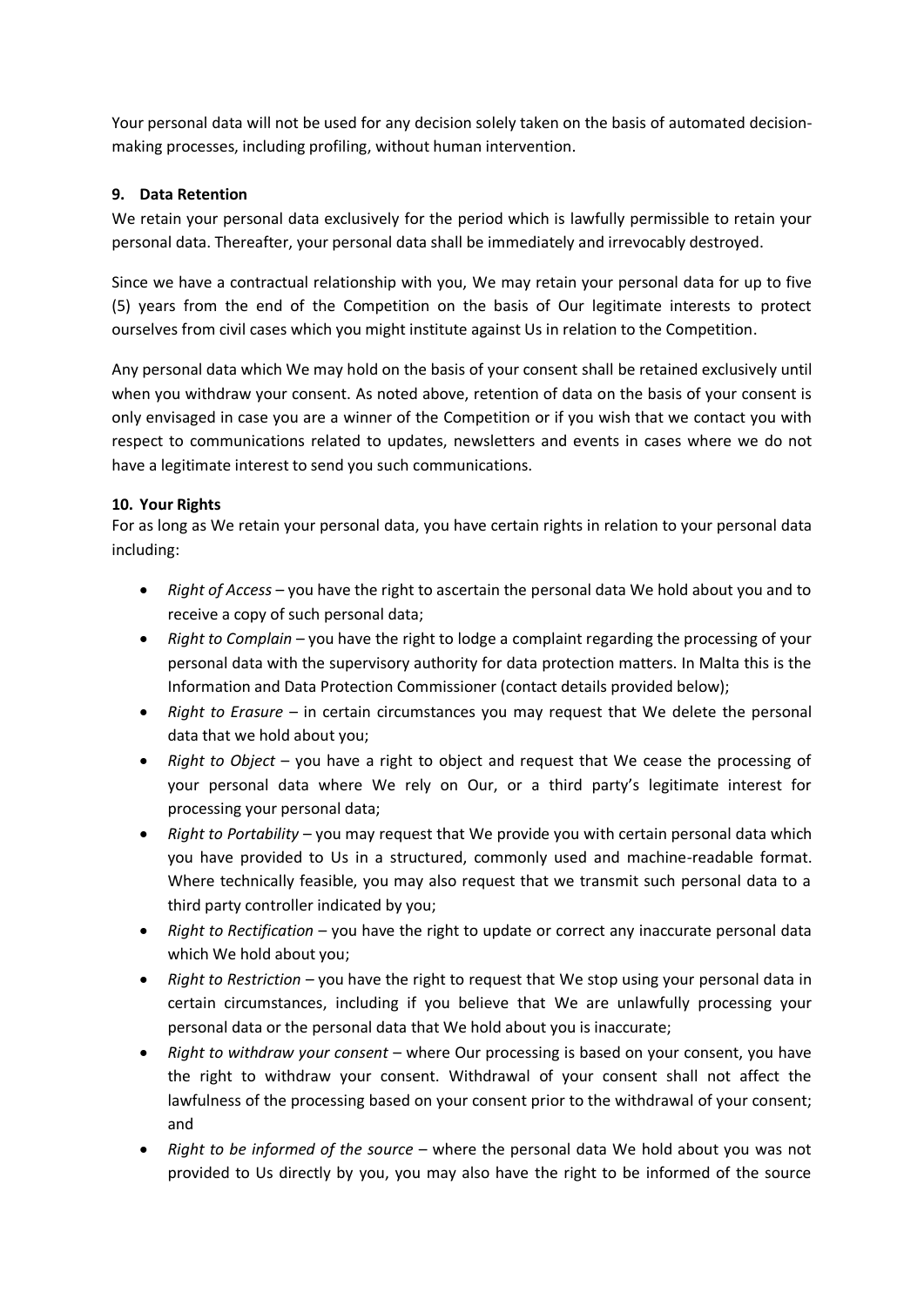Your personal data will not be used for any decision solely taken on the basis of automated decisionmaking processes, including profiling, without human intervention.

## **9. Data Retention**

We retain your personal data exclusively for the period which is lawfully permissible to retain your personal data. Thereafter, your personal data shall be immediately and irrevocably destroyed.

Since we have a contractual relationship with you, We may retain your personal data for up to five (5) years from the end of the Competition on the basis of Our legitimate interests to protect ourselves from civil cases which you might institute against Us in relation to the Competition.

Any personal data which We may hold on the basis of your consent shall be retained exclusively until when you withdraw your consent. As noted above, retention of data on the basis of your consent is only envisaged in case you are a winner of the Competition or if you wish that we contact you with respect to communications related to updates, newsletters and events in cases where we do not have a legitimate interest to send you such communications.

# **10. Your Rights**

For as long as We retain your personal data, you have certain rights in relation to your personal data including:

- *Right of Access* you have the right to ascertain the personal data We hold about you and to receive a copy of such personal data;
- *Right to Complain* you have the right to lodge a complaint regarding the processing of your personal data with the supervisory authority for data protection matters. In Malta this is the Information and Data Protection Commissioner (contact details provided below);
- *Right to Erasure* in certain circumstances you may request that We delete the personal data that we hold about you;
- *Right to Object* you have a right to object and request that We cease the processing of your personal data where We rely on Our, or a third party's legitimate interest for processing your personal data;
- *Right to Portability* you may request that We provide you with certain personal data which you have provided to Us in a structured, commonly used and machine-readable format. Where technically feasible, you may also request that we transmit such personal data to a third party controller indicated by you;
- *Right to Rectification* you have the right to update or correct any inaccurate personal data which We hold about you;
- *Right to Restriction –* you have the right to request that We stop using your personal data in certain circumstances, including if you believe that We are unlawfully processing your personal data or the personal data that We hold about you is inaccurate;
- *Right to withdraw your consent* where Our processing is based on your consent, you have the right to withdraw your consent. Withdrawal of your consent shall not affect the lawfulness of the processing based on your consent prior to the withdrawal of your consent; and
- *Right to be informed of the source* where the personal data We hold about you was not provided to Us directly by you, you may also have the right to be informed of the source